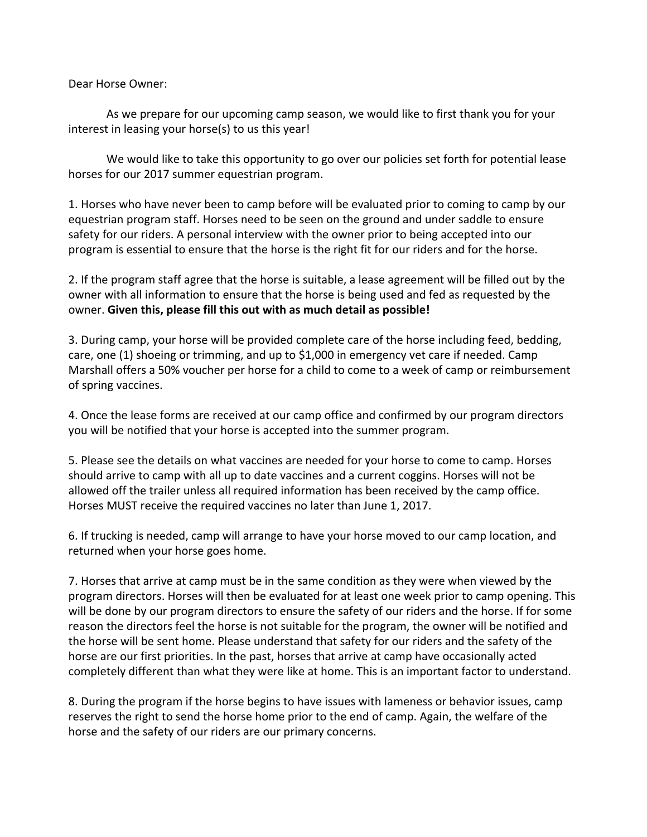Dear Horse Owner:

As we prepare for our upcoming camp season, we would like to first thank you for your interest in leasing your horse(s) to us this year!

We would like to take this opportunity to go over our policies set forth for potential lease horses for our 2017 summer equestrian program.

1. Horses who have never been to camp before will be evaluated prior to coming to camp by our equestrian program staff. Horses need to be seen on the ground and under saddle to ensure safety for our riders. A personal interview with the owner prior to being accepted into our program is essential to ensure that the horse is the right fit for our riders and for the horse.

2. If the program staff agree that the horse is suitable, a lease agreement will be filled out by the owner with all information to ensure that the horse is being used and fed as requested by the owner. **Given this, please fill this out with as much detail as possible!**

3. During camp, your horse will be provided complete care of the horse including feed, bedding, care, one (1) shoeing or trimming, and up to \$1,000 in emergency vet care if needed. Camp Marshall offers a 50% voucher per horse for a child to come to a week of camp or reimbursement of spring vaccines.

4. Once the lease forms are received at our camp office and confirmed by our program directors you will be notified that your horse is accepted into the summer program.

5. Please see the details on what vaccines are needed for your horse to come to camp. Horses should arrive to camp with all up to date vaccines and a current coggins. Horses will not be allowed off the trailer unless all required information has been received by the camp office. Horses MUST receive the required vaccines no later than June 1, 2017.

6. If trucking is needed, camp will arrange to have your horse moved to our camp location, and returned when your horse goes home.

7. Horses that arrive at camp must be in the same condition as they were when viewed by the program directors. Horses will then be evaluated for at least one week prior to camp opening. This will be done by our program directors to ensure the safety of our riders and the horse. If for some reason the directors feel the horse is not suitable for the program, the owner will be notified and the horse will be sent home. Please understand that safety for our riders and the safety of the horse are our first priorities. In the past, horses that arrive at camp have occasionally acted completely different than what they were like at home. This is an important factor to understand.

8. During the program if the horse begins to have issues with lameness or behavior issues, camp reserves the right to send the horse home prior to the end of camp. Again, the welfare of the horse and the safety of our riders are our primary concerns.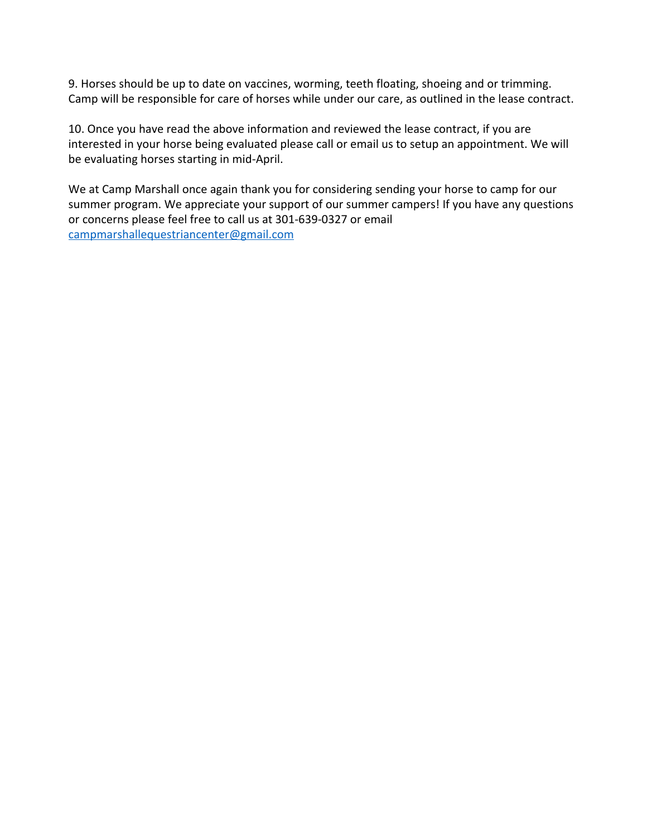9. Horses should be up to date on vaccines, worming, teeth floating, shoeing and or trimming. Camp will be responsible for care of horses while under our care, as outlined in the lease contract.

10. Once you have read the above information and reviewed the lease contract, if you are interested in your horse being evaluated please call or email us to setup an appointment. We will be evaluating horses starting in mid-April.

We at Camp Marshall once again thank you for considering sending your horse to camp for our summer program. We appreciate your support of our summer campers! If you have any questions or concerns please feel free to call us at 301-639-0327 or email [campmarshallequestriancenter@gmail.com](mailto:campmarshallequestriancenter@gmail.com)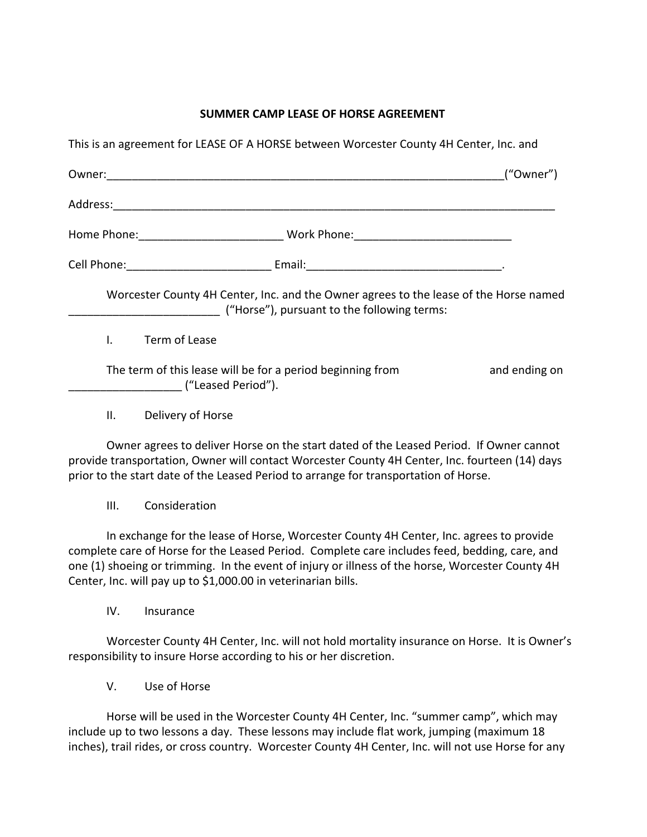### **SUMMER CAMP LEASE OF HORSE AGREEMENT**

| This is an agreement for LEASE OF A HORSE between Worcester County 4H Center, Inc. and |                                                                                                                                      |               |
|----------------------------------------------------------------------------------------|--------------------------------------------------------------------------------------------------------------------------------------|---------------|
|                                                                                        |                                                                                                                                      | ("Owner")     |
|                                                                                        |                                                                                                                                      |               |
| Home Phone: __________________________________Work Phone: _______________________      |                                                                                                                                      |               |
|                                                                                        |                                                                                                                                      |               |
|                                                                                        | Worcester County 4H Center, Inc. and the Owner agrees to the lease of the Horse named<br>("Horse"), pursuant to the following terms: |               |
| Term of Lease<br>Ι.                                                                    |                                                                                                                                      |               |
| The term of this lease will be for a period beginning from<br>("Leased Period").       |                                                                                                                                      | and ending on |
| Delivery of Horse<br>Ш.                                                                |                                                                                                                                      |               |

Owner agrees to deliver Horse on the start dated of the Leased Period. If Owner cannot provide transportation, Owner will contact Worcester County 4H Center, Inc. fourteen (14) days prior to the start date of the Leased Period to arrange for transportation of Horse.

III. Consideration

In exchange for the lease of Horse, Worcester County 4H Center, Inc. agrees to provide complete care of Horse for the Leased Period. Complete care includes feed, bedding, care, and one (1) shoeing or trimming. In the event of injury or illness of the horse, Worcester County 4H Center, Inc. will pay up to \$1,000.00 in veterinarian bills.

IV. Insurance

Worcester County 4H Center, Inc. will not hold mortality insurance on Horse. It is Owner's responsibility to insure Horse according to his or her discretion.

V. Use of Horse

Horse will be used in the Worcester County 4H Center, Inc. "summer camp", which may include up to two lessons a day. These lessons may include flat work, jumping (maximum 18 inches), trail rides, or cross country. Worcester County 4H Center, Inc. will not use Horse for any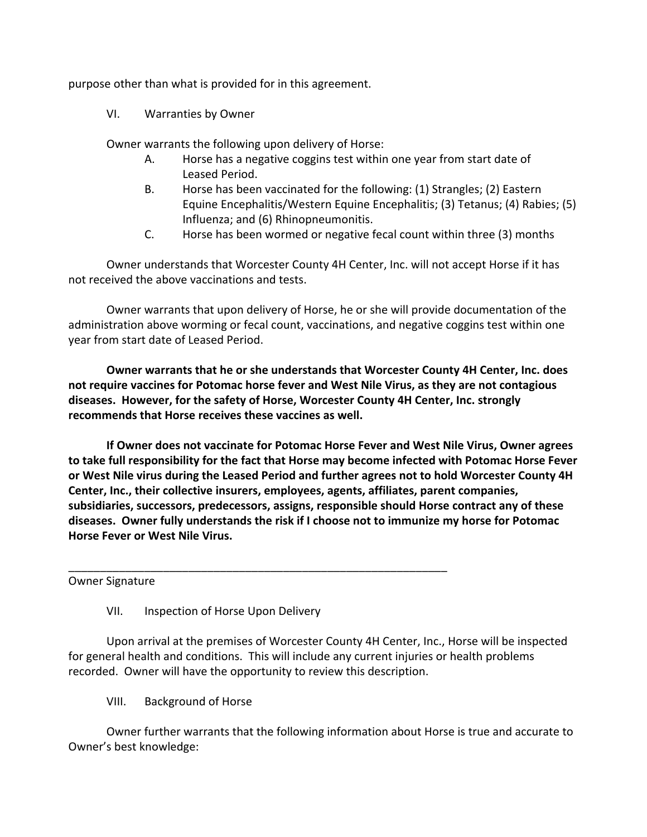purpose other than what is provided for in this agreement.

VI. Warranties by Owner

Owner warrants the following upon delivery of Horse:

- A. Horse has a negative coggins test within one year from start date of Leased Period.
- B. Horse has been vaccinated for the following: (1) Strangles; (2) Eastern Equine Encephalitis/Western Equine Encephalitis; (3) Tetanus; (4) Rabies; (5) Influenza; and (6) Rhinopneumonitis.
- C. Horse has been wormed or negative fecal count within three (3) months

Owner understands that Worcester County 4H Center, Inc. will not accept Horse if it has not received the above vaccinations and tests.

Owner warrants that upon delivery of Horse, he or she will provide documentation of the administration above worming or fecal count, vaccinations, and negative coggins test within one year from start date of Leased Period.

**Owner warrants that he or she understands that Worcester County 4H Center, Inc. does not require vaccines for Potomac horse fever and West Nile Virus, as they are not contagious diseases. However, for the safety of Horse, Worcester County 4H Center, Inc. strongly recommends that Horse receives these vaccines as well.**

**If Owner does not vaccinate for Potomac Horse Fever and West Nile Virus, Owner agrees to take full responsibility for the fact that Horse may become infected with Potomac Horse Fever or West Nile virus during the Leased Period and further agrees not to hold Worcester County 4H Center, Inc., their collective insurers, employees, agents, affiliates, parent companies, subsidiaries, successors, predecessors, assigns, responsible should Horse contract any of these diseases. Owner fully understands the risk if I choose not to immunize my horse for Potomac Horse Fever or West Nile Virus.**

Owner Signature

### VII. Inspection of Horse Upon Delivery

\_\_\_\_\_\_\_\_\_\_\_\_\_\_\_\_\_\_\_\_\_\_\_\_\_\_\_\_\_\_\_\_\_\_\_\_\_\_\_\_\_\_\_\_\_\_\_\_\_\_\_\_\_\_\_\_\_\_\_\_

Upon arrival at the premises of Worcester County 4H Center, Inc., Horse will be inspected for general health and conditions. This will include any current injuries or health problems recorded. Owner will have the opportunity to review this description.

VIII. Background of Horse

Owner further warrants that the following information about Horse is true and accurate to Owner's best knowledge: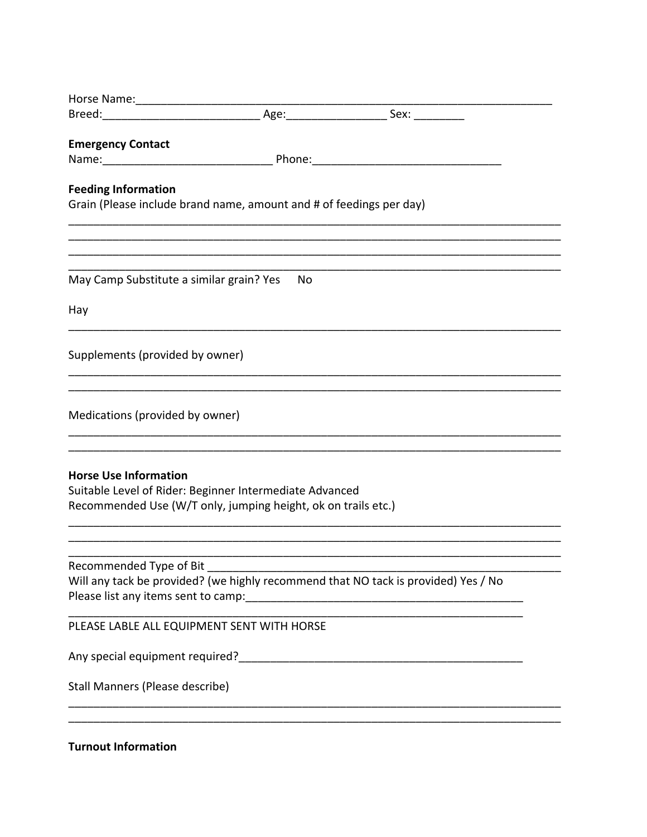| Horse Name: _____________________                                                                                        |    |                                                                                    |
|--------------------------------------------------------------------------------------------------------------------------|----|------------------------------------------------------------------------------------|
|                                                                                                                          |    |                                                                                    |
| <b>Emergency Contact</b>                                                                                                 |    |                                                                                    |
|                                                                                                                          |    |                                                                                    |
| <b>Feeding Information</b>                                                                                               |    |                                                                                    |
| Grain (Please include brand name, amount and # of feedings per day)                                                      |    |                                                                                    |
|                                                                                                                          |    |                                                                                    |
|                                                                                                                          |    |                                                                                    |
|                                                                                                                          |    |                                                                                    |
| May Camp Substitute a similar grain? Yes                                                                                 | No |                                                                                    |
| Hay                                                                                                                      |    |                                                                                    |
|                                                                                                                          |    |                                                                                    |
| Supplements (provided by owner)                                                                                          |    |                                                                                    |
|                                                                                                                          |    |                                                                                    |
| Medications (provided by owner)                                                                                          |    |                                                                                    |
|                                                                                                                          |    |                                                                                    |
|                                                                                                                          |    |                                                                                    |
| <b>Horse Use Information</b>                                                                                             |    |                                                                                    |
| Suitable Level of Rider: Beginner Intermediate Advanced<br>Recommended Use (W/T only, jumping height, ok on trails etc.) |    |                                                                                    |
|                                                                                                                          |    |                                                                                    |
|                                                                                                                          |    |                                                                                    |
| Recommended Type of Bit                                                                                                  |    |                                                                                    |
|                                                                                                                          |    | Will any tack be provided? (we highly recommend that NO tack is provided) Yes / No |
|                                                                                                                          |    |                                                                                    |
| PLEASE LABLE ALL EQUIPMENT SENT WITH HORSE                                                                               |    |                                                                                    |
|                                                                                                                          |    |                                                                                    |
|                                                                                                                          |    |                                                                                    |
| Stall Manners (Please describe)                                                                                          |    |                                                                                    |
|                                                                                                                          |    |                                                                                    |
| <b>Turnout Information</b>                                                                                               |    |                                                                                    |
|                                                                                                                          |    |                                                                                    |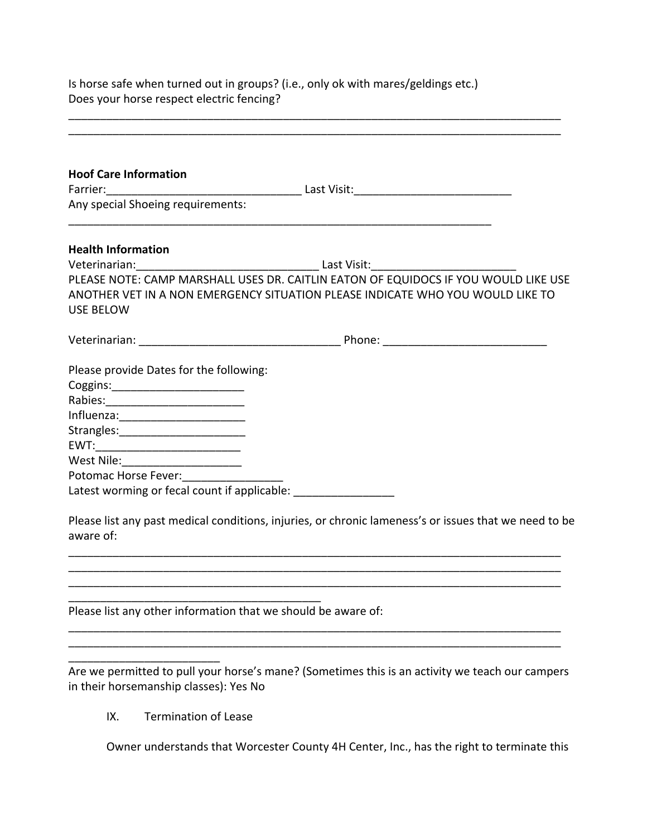Is horse safe when turned out in groups? (i.e., only ok with mares/geldings etc.) Does your horse respect electric fencing?

\_\_\_\_\_\_\_\_\_\_\_\_\_\_\_\_\_\_\_\_\_\_\_\_\_\_\_\_\_\_\_\_\_\_\_\_\_\_\_\_\_\_\_\_\_\_\_\_\_\_\_\_\_\_\_\_\_\_\_\_\_\_\_\_\_\_\_\_\_\_\_\_\_\_\_\_\_\_ \_\_\_\_\_\_\_\_\_\_\_\_\_\_\_\_\_\_\_\_\_\_\_\_\_\_\_\_\_\_\_\_\_\_\_\_\_\_\_\_\_\_\_\_\_\_\_\_\_\_\_\_\_\_\_\_\_\_\_\_\_\_\_\_\_\_\_\_\_\_\_\_\_\_\_\_\_\_

| Any special Shoeing requirements:                               |                                                                                                                                                                       |  |  |  |
|-----------------------------------------------------------------|-----------------------------------------------------------------------------------------------------------------------------------------------------------------------|--|--|--|
| <b>Health Information</b>                                       |                                                                                                                                                                       |  |  |  |
|                                                                 |                                                                                                                                                                       |  |  |  |
| <b>USE BELOW</b>                                                | PLEASE NOTE: CAMP MARSHALL USES DR. CAITLIN EATON OF EQUIDOCS IF YOU WOULD LIKE USE<br>ANOTHER VET IN A NON EMERGENCY SITUATION PLEASE INDICATE WHO YOU WOULD LIKE TO |  |  |  |
|                                                                 |                                                                                                                                                                       |  |  |  |
| Please provide Dates for the following:                         |                                                                                                                                                                       |  |  |  |
| Coggins:___________________________                             |                                                                                                                                                                       |  |  |  |
| Rabies:_____________________________                            |                                                                                                                                                                       |  |  |  |
| Influenza:_________________________                             |                                                                                                                                                                       |  |  |  |
| Strangles:__________________________                            |                                                                                                                                                                       |  |  |  |
|                                                                 |                                                                                                                                                                       |  |  |  |
| West Nile:_______________________                               |                                                                                                                                                                       |  |  |  |
|                                                                 |                                                                                                                                                                       |  |  |  |
| Latest worming or fecal count if applicable: __________________ |                                                                                                                                                                       |  |  |  |
| aware of:                                                       | Please list any past medical conditions, injuries, or chronic lameness's or issues that we need to be                                                                 |  |  |  |
|                                                                 | <u> 1989 - Johann Barn, mars ann an t-Amhainn an t-Amhainn an t-Amhainn an t-Amhainn an t-Amhainn an t-Amhainn an </u>                                                |  |  |  |
|                                                                 |                                                                                                                                                                       |  |  |  |

Are we permitted to pull your horse's mane? (Sometimes this is an activity we teach our campers in their horsemanship classes): Yes No

IX. Termination of Lease

\_\_\_\_\_\_\_\_\_\_\_\_\_\_\_\_\_\_\_\_\_\_\_\_

Owner understands that Worcester County 4H Center, Inc., has the right to terminate this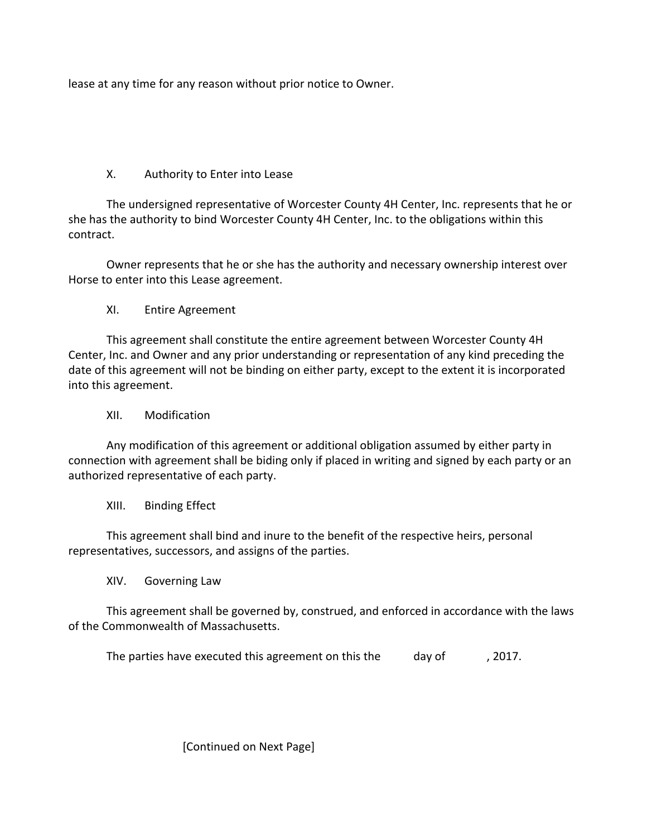lease at any time for any reason without prior notice to Owner.

# X. Authority to Enter into Lease

The undersigned representative of Worcester County 4H Center, Inc. represents that he or she has the authority to bind Worcester County 4H Center, Inc. to the obligations within this contract.

Owner represents that he or she has the authority and necessary ownership interest over Horse to enter into this Lease agreement.

## XI. Entire Agreement

This agreement shall constitute the entire agreement between Worcester County 4H Center, Inc. and Owner and any prior understanding or representation of any kind preceding the date of this agreement will not be binding on either party, except to the extent it is incorporated into this agreement.

## XII. Modification

Any modification of this agreement or additional obligation assumed by either party in connection with agreement shall be biding only if placed in writing and signed by each party or an authorized representative of each party.

## XIII. Binding Effect

This agreement shall bind and inure to the benefit of the respective heirs, personal representatives, successors, and assigns of the parties.

XIV. Governing Law

This agreement shall be governed by, construed, and enforced in accordance with the laws of the Commonwealth of Massachusetts.

The parties have executed this agreement on this the day of , 2017.

[Continued on Next Page]